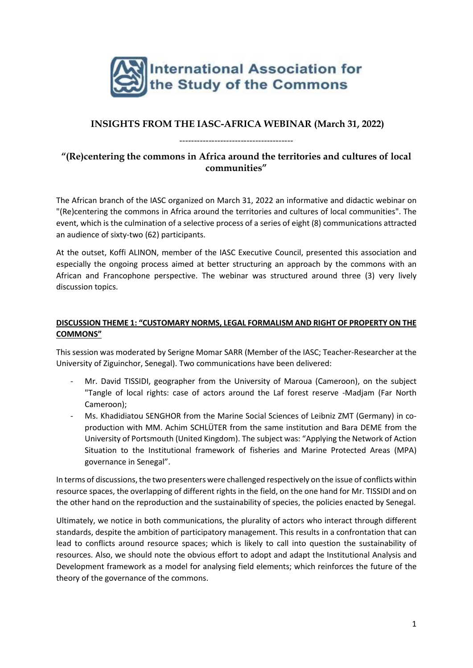

# **INSIGHTS FROM THE IASC-AFRICA WEBINAR (March 31, 2022)**

---------------------------------------

# **"(Re)centering the commons in Africa around the territories and cultures of local communities"**

The African branch of the IASC organized on March 31, 2022 an informative and didactic webinar on "(Re)centering the commons in Africa around the territories and cultures of local communities". The event, which is the culmination of a selective process of a series of eight (8) communications attracted an audience of sixty-two (62) participants.

At the outset, Koffi ALINON, member of the IASC Executive Council, presented this association and especially the ongoing process aimed at better structuring an approach by the commons with an African and Francophone perspective. The webinar was structured around three (3) very lively discussion topics.

### **DISCUSSION THEME 1: "CUSTOMARY NORMS, LEGAL FORMALISM AND RIGHT OF PROPERTY ON THE COMMONS"**

This session was moderated by Serigne Momar SARR (Member of the IASC; Teacher-Researcher at the University of Ziguinchor, Senegal). Two communications have been delivered:

- Mr. David TISSIDI, geographer from the University of Maroua (Cameroon), on the subject "Tangle of local rights: case of actors around the Laf forest reserve -Madjam (Far North Cameroon);
- Ms. Khadidiatou SENGHOR from the Marine Social Sciences of Leibniz ZMT (Germany) in coproduction with MM. Achim SCHLÜTER from the same institution and Bara DEME from the University of Portsmouth (United Kingdom). The subject was: "Applying the Network of Action Situation to the Institutional framework of fisheries and Marine Protected Areas (MPA) governance in Senegal".

In terms of discussions, the two presenters were challenged respectively on the issue of conflicts within resource spaces, the overlapping of different rights in the field, on the one hand for Mr. TISSIDI and on the other hand on the reproduction and the sustainability of species, the policies enacted by Senegal.

Ultimately, we notice in both communications, the plurality of actors who interact through different standards, despite the ambition of participatory management. This results in a confrontation that can lead to conflicts around resource spaces; which is likely to call into question the sustainability of resources. Also, we should note the obvious effort to adopt and adapt the Institutional Analysis and Development framework as a model for analysing field elements; which reinforces the future of the theory of the governance of the commons.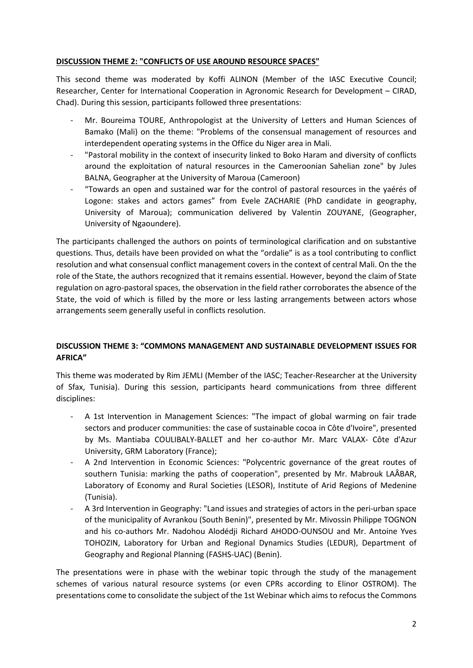#### **DISCUSSION THEME 2: "CONFLICTS OF USE AROUND RESOURCE SPACES"**

This second theme was moderated by Koffi ALINON (Member of the IASC Executive Council; Researcher, Center for International Cooperation in Agronomic Research for Development – CIRAD, Chad). During this session, participants followed three presentations:

- Mr. Boureima TOURE, Anthropologist at the University of Letters and Human Sciences of Bamako (Mali) on the theme: "Problems of the consensual management of resources and interdependent operating systems in the Office du Niger area in Mali.
- "Pastoral mobility in the context of insecurity linked to Boko Haram and diversity of conflicts around the exploitation of natural resources in the Cameroonian Sahelian zone" by Jules BALNA, Geographer at the University of Maroua (Cameroon)
- "Towards an open and sustained war for the control of pastoral resources in the yaérés of Logone: stakes and actors games" from Evele ZACHARIE (PhD candidate in geography, University of Maroua); communication delivered by Valentin ZOUYANE, (Geographer, University of Ngaoundere).

The participants challenged the authors on points of terminological clarification and on substantive questions. Thus, details have been provided on what the "ordalie" is as a tool contributing to conflict resolution and what consensual conflict management covers in the context of central Mali. On the the role of the State, the authors recognized that it remains essential. However, beyond the claim of State regulation on agro-pastoral spaces, the observation in the field rather corroborates the absence of the State, the void of which is filled by the more or less lasting arrangements between actors whose arrangements seem generally useful in conflicts resolution.

### **DISCUSSION THEME 3: "COMMONS MANAGEMENT AND SUSTAINABLE DEVELOPMENT ISSUES FOR AFRICA"**

This theme was moderated by Rim JEMLI (Member of the IASC; Teacher-Researcher at the University of Sfax, Tunisia). During this session, participants heard communications from three different disciplines:

- A 1st Intervention in Management Sciences: "The impact of global warming on fair trade sectors and producer communities: the case of sustainable cocoa in Côte d'Ivoire", presented by Ms. Mantiaba COULIBALY-BALLET and her co-author Mr. Marc VALAX- Côte d'Azur University, GRM Laboratory (France);
- A 2nd Intervention in Economic Sciences: "Polycentric governance of the great routes of southern Tunisia: marking the paths of cooperation", presented by Mr. Mabrouk LAÂBAR, Laboratory of Economy and Rural Societies (LESOR), Institute of Arid Regions of Medenine (Tunisia).
- A 3rd Intervention in Geography: "Land issues and strategies of actors in the peri-urban space of the municipality of Avrankou (South Benin)", presented by Mr. Mivossin Philippe TOGNON and his co-authors Mr. Nadohou Alodédji Richard AHODO-OUNSOU and Mr. Antoine Yves TOHOZIN, Laboratory for Urban and Regional Dynamics Studies (LEDUR), Department of Geography and Regional Planning (FASHS-UAC) (Benin).

The presentations were in phase with the webinar topic through the study of the management schemes of various natural resource systems (or even CPRs according to Elinor OSTROM). The presentations come to consolidate the subject of the 1st Webinar which aims to refocus the Commons